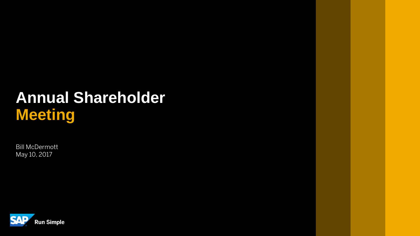## **Annual Shareholder Meeting**

Bill McDermott May 10, 2017

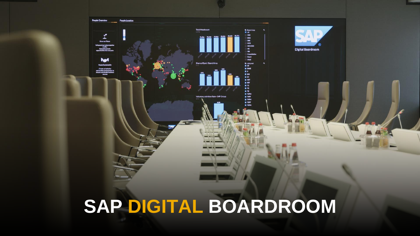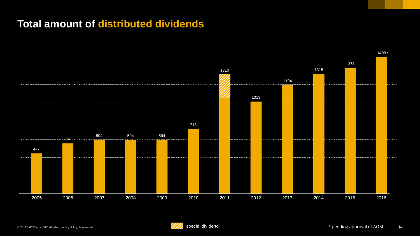### **Total amount of distributed dividends**



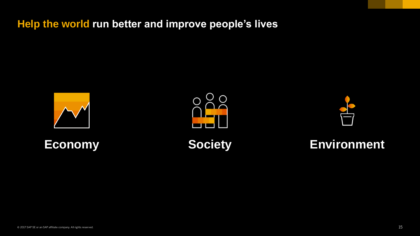**Help the world run better and improve people's lives**









### **Economy Society Environment**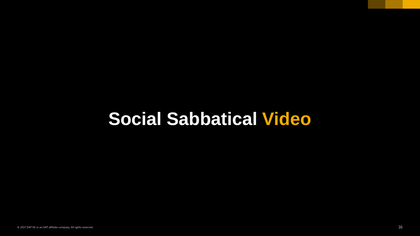# **Social Sabbatical Video**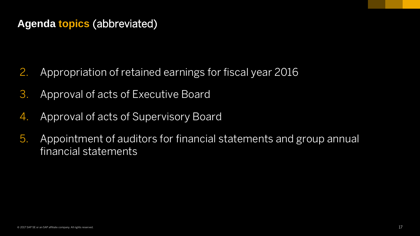### **Agenda topics** (abbreviated)

- 2. Appropriation of retained earnings for fiscal year 2016
- 3. Approval of acts of Executive Board
- 4. Approval of acts of Supervisory Board
- 5. Appointment of auditors for financial statements and group annual financial statements